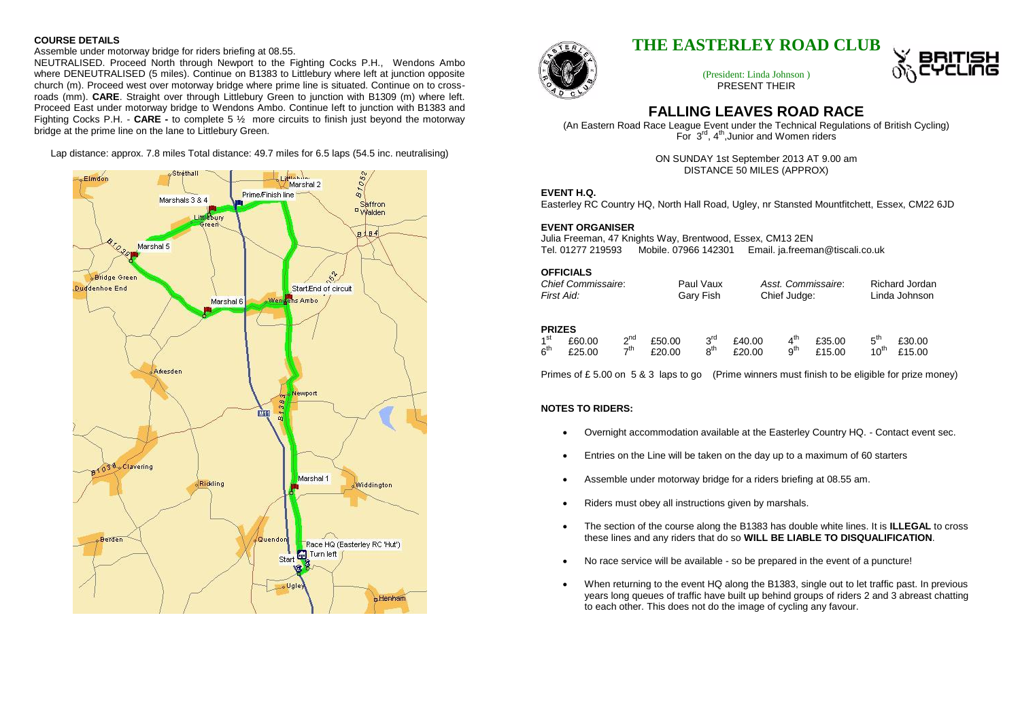#### **COURSE DETAILS**

Assemble under motorway bridge for riders briefing at 08.55.

NEUTRALISED. Proceed North through Newport to the Fighting Cocks P.H., Wendons Ambo where DENEUTRALISED (5 miles). Continue on B1383 to Littlebury where left at junction opposite church (m). Proceed west over motorway bridge where prime line is situated. Continue on to crossroads (mm). **CARE**. Straight over through Littlebury Green to junction with B1309 (m) where left. Proceed East under motorway bridge to Wendons Ambo. Continue left to junction with B1383 and Fighting Cocks P.H. - **CARE -** to complete 5 ½ more circuits to finish just beyond the motorway bridge at the prime line on the lane to Littlebury Green.

Lap distance: approx. 7.8 miles Total distance: 49.7 miles for 6.5 laps (54.5 inc. neutralising)





# **THE EASTERLEY ROAD CLUB**

(President: Linda Johnson ) PRESENT THEIR



# **FALLING LEAVES ROAD RACE**

(An Eastern Road Race League Event under the Technical Regulations of British Cycling) For 3<sup>rd</sup>, 4<sup>th</sup>, Junior and Women riders

> ON SUNDAY 1st September 2013 AT 9.00 am DISTANCE 50 MILES (APPROX)

#### **EVENT H.Q.**

Easterley RC Country HQ, North Hall Road, Ugley, nr Stansted Mountfitchett, Essex, CM22 6JD

### **EVENT ORGANISER**

Julia Freeman, 47 Knights Way, Brentwood, Essex, CM13 2EN Tel. 01277 219593 Mobile. 07966 142301 Email. ja.freeman@tiscali.co.uk

**OFFICIALS**

| <b>Chief Commissaire:</b> | Paul Vaux | Asst. Commissaire: | Richard Jordan |
|---------------------------|-----------|--------------------|----------------|
| First Aid:                | Gary Fish | Chief Judge:       | Linda Johnson  |

### **PRIZES**

| 1 <sup>st</sup> | £60.00 | $2^{nd}$        | £50.00 | $3^{\text{rd}}$ | £40.00 | $\mathbf{A}^{\text{th}}$ | £35.00 | $5^{\text{th}}$ £30.00 |
|-----------------|--------|-----------------|--------|-----------------|--------|--------------------------|--------|------------------------|
| $6^{\sf th}$    | £25.00 | 7 <sup>th</sup> | £20.00 | $R^{th}$        | £20.00 | $9^{th}$                 | £15.00 | $10^{th}$ £15.00       |

Primes of £5.00 on 5 & 3 laps to go (Prime winners must finish to be eligible for prize money)

## **NOTES TO RIDERS:**

- Overnight accommodation available at the Easterley Country HQ. Contact event sec.
- Entries on the Line will be taken on the day up to a maximum of 60 starters
- Assemble under motorway bridge for a riders briefing at 08.55 am.
- Riders must obey all instructions given by marshals.
- The section of the course along the B1383 has double white lines. It is **ILLEGAL** to cross these lines and any riders that do so **WILL BE LIABLE TO DISQUALIFICATION**.
- No race service will be available so be prepared in the event of a puncture!
- When returning to the event HQ along the B1383, single out to let traffic past. In previous years long queues of traffic have built up behind groups of riders 2 and 3 abreast chatting to each other. This does not do the image of cycling any favour.